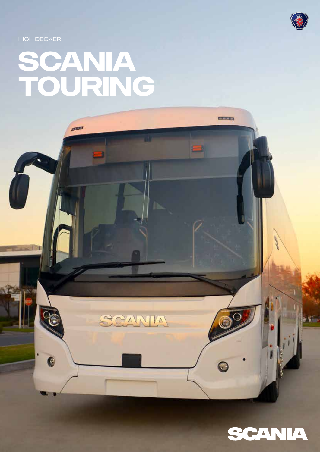

**EXPERT** 

- 1

**HIGH DECKER** 

# SCANIA<br>TOURING

poster

SCANIA

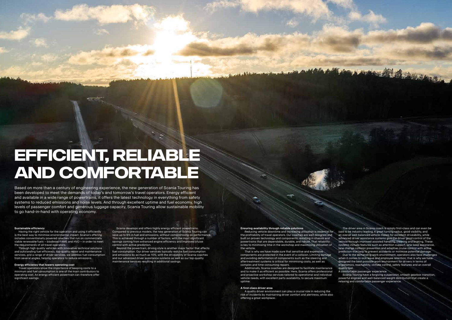2 3

## **Efficient, reliable and comfortable**

Based on more than a century of engineering experience, the new generation of Scania Touring has been developed to meet the demands of today's and tomorrow's travel operators. Energy efficient and available in a wide range of powertrains, it offers the latest technology in everything from safety systems to reduced emissions and noise levels. And through excellent uptime and fuel economy, high levels of passenger comfort and generous luggage capacity, Scania Touring allow sustainable mobility to go hand-in-hand with operating economy.

#### **Sustainable efficiency**

 Travel operators know the importance of keeping costs to a minimum and fuel consumption is one of the main contributors to operating cost. An energy efficient powertrain can therefore offer significant savings.

 Having the right vehicle for the operation and using it efficiently is the best way to minimise environmental impact. Scania's offering includes conventionally powered coaches that run on commercially viable renewable fuels – biodiesel/FAME and HVO – in order to meet the requirements of all travel operators.

 Through high quality vehicles with innovative technical solutions and outstanding fuel efficiency, top-quality repair and maintenance services, and a range of driver services, we address fuel consumption from several angles, helping operators to reduce emissions.

#### **Energy efficiency that lowers operating cost**

#### **Ensuring availability through reliable solutions**

Reducing vehicle downtime and increasing utilisation is essential for the profitability of travel operators. Our coaches are well designed and built on proven technology and components, resulting in chassis and powertrains that are dependable, durable, and robust. That reliability is key to minimising time in the workshop and maximising utilisation of the vehicle.

 That is why we have made sure that sensitive and expensive components are protected in the event of a collision. Limiting damage and avoiding deformation of components such as the steering and aftertreatment systems is critical for minimising costs, as well as complex and time-consuming repairs.

 Additionally, Scania coaches are designed to facilitate maintenance and to make it as efficient as possible. Here, Scania offers professional and proactive workshop services tailored to operational and individual vehicle needs, with excellent parts availability, to secure maximum uptime.

#### **A first-class driver area**

 A quality driver environment can play a crucial role in reducing the risk of incidents by maintaining driver comfort and alertness, while also offering a great workplace.

Scania develops and offers highly energy efficient powertrains. Compared to previous models, the new generation of Scania Touring can save up to 6% in fuel and emissions, without compromising on performance. This is achieved through a number of factors, with the most significant savings coming from enhanced engine efficiency and improved cruise control with active prediction.

 Beyond the powertrain, driving style is another major factor that affects fuel consumption. Our driver services typically reduce fuel consumption and emissions by as much as 10%, with the driveability of Scania coaches and our advanced driver assistance systems as well as our top-quality maintenance services resulting in additional savings.

 The driver area in Scania coach is simply first-class and can even be said to be industry leading. A great turning radius, good visibility, and an overall well-balanced vehicle makes for excellent driveability, while advanced driver assistance systems give the driver good control of the vehicle through improved assisted handling, steering and braking. These systems include features such as attention support, lane keep assistance, lane change collision prevention and adaptive cruise control with active prediction that help to prevent accidents or minimise potential damage. Due to the demanding work environment, operators also face challenges when it comes to sick leave and employee retention; that is why we have designed the best possible work environment for drivers in terms of ergonomics, reachability, climate control, safety features and an overall quality feel.

ANTARA ANTAN MERIDIAN

A comfortable passenger experience

 Scania Touring have a forgiving suspension, smooth gearbox transition, powerful engines and well-balanced weight distribution that create a relaxing and comfortable passenger experience.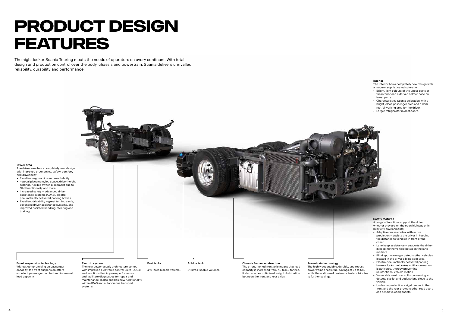#### **Driver area**

The driver area has a completely new design with improved ergonomics, safety, comfort, and driveability.

- Excellent ergonomics and reachability • – pedal placement, leg space, driver height settings, flexible switch placement due to CAN functionality and more.
- Increased safety advanced driver assistance systems (ADAS), electropneumatically activated parking brakes.
- Excellent drivability great turning circle, advanced driver assistance systems, and improved assisted handling, steering and braking.

#### **Interior**

The interior has a completely new design with a modern, sophisticated coloration.

- Bright, light colours of the upper parts of the interior and a darker, calmer base on lower parts.
- Characteristics Scania coloration with a bright, clean passenger area and a dark, restful working area for the driver.
- Larger refrigerator in dashboard.

#### **Safety features**

A range of functions support the driver whether they are on the open highway or in busy city environments;

with improved electronic control units (ECUs) and functions that improve performance and facilitate diagnostics for repair and maintenance. It also enables new functionality within ADAS and autonomous transport systems.

- Adaptive cruise control with active prediction – assists the driver in keeping the distance to vehicles in front of the coach.
- Lane keep assistance supports the driver in keeping the vehicle between the lane markers.
- Blind spot warning detects other vehicles located in the driver's blind spot area.
- Electro-pneumatically activated parking brake – locks the brakes until acceleration is activated, thereby preventing unintentional vehicle motion.
- Vulnerable road user collision warning detects cyclist and pedestrians close to the vehicle.
- Underrun protection rigid beams in the front and the rear protects other road users and sensitive components.

**Front suspension technology**

Without compromising on passenger capacity, the front suspension offers excellent passenger comfort and increased

load capacity.

capacity is increased from 7.5 to 8.0 tonnes. It also enables optimised weight distribution between the front and rear axles.



powertrains enable fuel savings of up to 6%, while the addition of cruise control contributes to further savings.

## **PRODUCT DESIGN FEATURES**

The high decker Scania Touring meets the needs of operators on every continent. With total design and production control over the body, chassis and powertrain, Scania delivers unrivalled reliability, durability and performance.

31 litres (usable volume).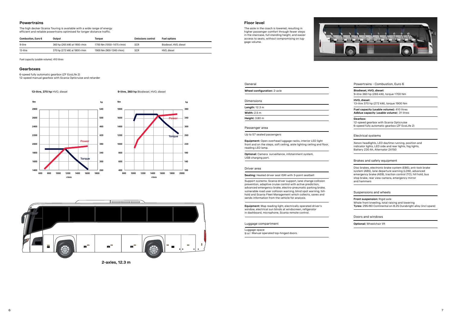#### **Powertrains**

The high decker Scania Touring is available with a wide range of energy efficient and reliable powertrains optimised for longer distance traffic.

#### **Floor level**

The aisle in the coach is lowered, resulting in higher passenger comfort through fewer steps in the staircase, full standing height, and easier access to seats, without compromising on luggage volume.



| Combustion. Euro 6 | Output                        | Torque                    | <b>Emissions control</b> | <b>Fuel options</b>    |
|--------------------|-------------------------------|---------------------------|--------------------------|------------------------|
| 9-litre            | 360 hp (265 kW) at 1900 r/min | 1700 Nm (1050-1475 r/min) | <b>SCR</b>               | Biodiesel. HVO. diesel |
| 13-litre           | 370 hp (272 kW) at 1800 r/min | 1900 Nm (900-1340 r/min)  | <b>SCR</b>               | HVO. diesel            |

Fuel capacity (usable volume): 410 litres

#### **Gearboxes**

6-speed fully automatic gearbox (ZF EcoLife 2)

12-speed manual gearbox with Scania Opticruise and retarder

**13-litre, 370 hp** HVO, diesel **9-litre, 360 hp** Biodiesel, HVO, diesel



**2-axles, 12.3 m**





#### General

**Wheel configuration:** 2-axle Dimensions **Length:** 12.3 m

| Width: $2.5 \text{ m}$ |  |  |
|------------------------|--|--|
| <b>Height:</b> 3.80 m  |  |  |
|                        |  |  |

#### Passenger area

Up to 57 seated passengers

**Equipment:** Open overhead luggage racks, interior LED light front and on the steps, soft ceiling, aisle lighting ceiling and floor, reading LED lamp.

**Optional:** Camera surveillance, infotainment system, USB charging port.

#### Driver area

#### **Seating:** Heated driver seat ISRI with 3-point seatbelt

Support systems: Scania driver support, lane change collision prevention, adaptive cruise control with active prediction, advanced emergency brake, electro-pneumatic parking brake, vulnerable road user collision warning, blind spot warning, hillhold and Scania Fleet Management which collects, saves and sends information from the vehicle for analysis.

**Equipment:** Map reading light, electrically operated driver's window, electrical sun blinds at windscreen, refigerator in dashboard, microphone, Scania remote control.

Luggage compartment

Luggage space

9 m3. Manual operated top-hinged doors.



#### Powertrains - Combustion, Euro 6

**Biodiesel, HVO, diesel:**  9-litre 360 hp (265 kW), torque 1700 Nm

**HVO, diesel:**  13-litre 370 hp (272 kW), torque 1900 Nm

**Fuel capacity (usable volume):** 410 litres **Adblue capacity** (**usable volume**): 31 litres

#### **Gearbox:**

12-speed gearbox with Scania Opticruise 6-speed fully automatic gearbox (ZF EcoLife 2)

Electrical systems

Xenon headlights, LED daytime running, position and indicator lights, LED side and rear lights, fog lights, Battery 230 Ah, Alternator 2X150

#### Brakes and safety equipment

Disc brakes, electronic brake system (EBS), anti-lock brake system (ABS), lane departure warning (LDW), advanced emergency brake (AEB), traction control (TC), hill hold, bus stop brake, rear view camera, emergency mirror and hammers

#### Suspensions and wheels

**Front suspension:** Rigid axle Whole front kneeling, total raising and lowering **Tyres:** 295/80 Continental on 8.25 Durabright alloy (incl spare)

Doors and windows

**Optional:** Wheelchair lift